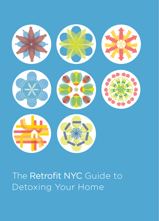

### The Retrofit NYC Guide to Detoxing Your Home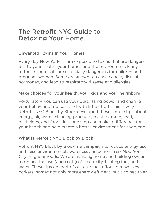#### The Retrofit NYC Guide to Detoxing Your Home

#### Unwanted Toxins In Your Homes

Every day New Yorkers are exposed to toxins that are dangerous to your health, your homes and the environment. Many of these chemicals are especially dangerous for children and pregnant women. Some are known to cause cancer, disrupt hormones, and lead to respiratory disease and allergies.

#### Make choices for your health, your kids and your neighbors

Fortunately, you can use your purchasing power and change your behavior at no cost and with little effort. This is why Retrofit NYC Block by Block developed these simple tips about energy, air, water, cleaning products, plastics, mold, lead, pesticides, and food. Just one step can make a difference for your health and help create a better environment for everyone.

#### What is Retrofit NYC Block by Block?

Retrofit NYC Block by Block is a campaign to reduce energy use and raise environmental awareness and action in six New York City neighborhoods. We are assisting home and building owners to reduce the use (and costs) of electricity, heating fuel, and water. These tips are part of our outreach effort to make New Yorkers' homes not only more energy efficient, but also healthier.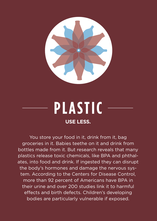

### **P L A S T I C USE LESS.**

You store your food in it, drink from it, bag groceries in it. Babies teethe on it and drink from bottles made from it. But research reveals that many plastics release toxic chemicals, like BPA and phthalates, into food and drink. If ingested they can disrupt the body's hormones and damage the nervous system. According to the Centers for Disease Control, more than 92 percent of Americans have BPA in their urine and over 200 studies link it to harmful effects and birth defects. Children's developing bodies are particularly vulnerable if exposed.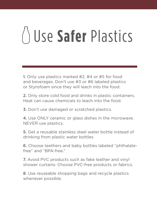# Use **Safer** Plastics

1. Only use plastics marked #2, #4 or #5 for food and beverages. Don't use #3 or #6 labeled plastics or Styrofoam since they will leach into the food.

2. Only store cold food and drinks in plastic containers. Heat can cause chemicals to leach into the food.

3. Don't use damaged or scratched plastics.

4. Use ONLY ceramic or glass dishes in the microwave. NEVER use plastics.

5. Get a reusable stainless steel water bottle instead of drinking from plastic water bottles.

6. Choose teethers and baby bottles labeled "phthalatefree" and "BPA-free."

7. Avoid PVC products such as fake leather and vinyl shower curtains. Choose PVC-free products or fabrics.

8. Use reuseable shopping bags and recycle plastics whenever possible.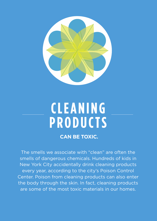

### **C L E A N I N G P R O D U C T S**

#### **CAN BE TOXIC.**

The smells we associate with "clean" are often the smells of dangerous chemicals. Hundreds of kids in New York City accidentally drink cleaning products every year, according to the city's Poison Control Center. Poison from cleaning products can also enter the body through the skin. In fact, cleaning products are some of the most toxic materials in our homes.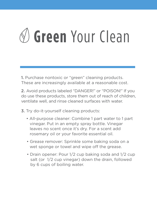# **Green** Your Clean

1. Purchase nontoxic or "green" cleaning products. These are increasingly available at a reasonable cost.

2. Avoid products labeled "DANGER!" or "POISON!" If you do use these products, store them out of reach of children, ventilate well, and rinse cleaned surfaces with water.

3. Try do-it-yourself cleaning products:

- All-purpose cleaner: Combine 1 part water to 1 part vinegar. Put in an empty spray bottle. Vinegar leaves no scent once it's dry. For a scent add rosemary oil or your favorite essential oil.
- Grease remover: Sprinkle some baking soda on a wet sponge or towel and wipe off the grease.
- Drain opener: Pour 1/2 cup baking soda and 1/2 cup salt (or 1/2 cup vinegar) down the drain, followed by 6 cups of boiling water.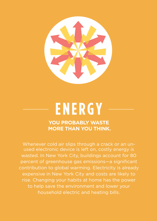

## **E N E R G Y**

**YOU PROBABLY WASTE MORE THAN YOU THINK.**

Whenever cold air slips through a crack or an unused electronic device is left on, costly energy is wasted. In New York City, buildings account for 80 percent of greenhouse gas emissions—a significant contribution to global warming. Electricity is already expensive in New York City and costs are likely to to help save the environment and lower your household electric and heating bills.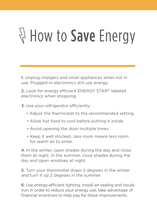# $\forall$  How to Save Energy

1. Unplug chargers and small appliances when not in use. Plugged-in electronics still use energy.

2. Look for energy efficient ENERGY STAR® labeled electronics when shopping.

3. Use your refrigerator efficiently:

- Adjust the thermostat to the recommended setting.
- Allow hot food to cool before putting it inside.
- Avoid opening the door multiple times.
- Keep it well stocked…less room means less room for warm air to enter.

4. In the winter, open shades during the day and close them at night. In the summer, close shades during the day and open windows at night.

5. Turn your thermostat down 2 degrees in the winter and turn it up 2 degrees in the summer.

6. Use energy-efficient lighting. Install air sealing and insulation in order to reduce your energy use; take advantage of financial incentives to help pay for these improvements.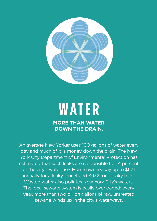

## **W AT E R**

#### **MORE THAN WATER DOWN THE DRAIN.**

An average New Yorker uses 100 gallons of water every day and much of it is money down the drain. The New York City Department of Environmental Protection has estimated that such leaks are responsible for 14 percent of the city's water use. Home owners pay up to \$671 annually for a leaky faucet and \$932 for a leaky toilet. Wasted water also pollutes New York City's waters. The local sewage system is easily overloaded; every year, more than two billion gallons of raw, untreated sewage winds up in the city's waterways.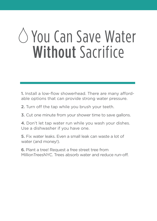## You Can Save Water Without Sacrifice

1. Install a low-flow showerhead. There are many affordable options that can provide strong water pressure.

- 2. Turn off the tap while you brush your teeth.
- 3. Cut one minute from your shower time to save gallons.
- 4. Don't let tap water run while you wash your dishes. Use a dishwasher if you have one.
- 5. Fix water leaks. Even a small leak can waste a lot of water (and money!).

6. Plant a tree! Request a free street tree from MillionTreesNYC. Trees absorb water and reduce run-off.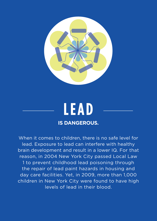

### **L E A D IS DANGEROUS.**

When it comes to children, there is no safe level for lead. Exposure to lead can interfere with healthy brain development and result in a lower IQ. For that reason, in 2004 New York City passed Local Law 1 to prevent childhood lead poisoning through the repair of lead paint hazards in housing and day care facilities. Yet, in 2009, more than 1,000 children in New York City were found to have high levels of lead in their blood.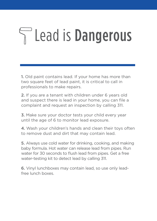# Lead is Dangerous

1. Old paint contains lead. If your home has more than two square feet of lead paint, it is critical to call in professionals to make repairs.

2. If you are a tenant with children under 6 years old and suspect there is lead in your home, you can file a complaint and request an inspection by calling 311.

3. Make sure your doctor tests your child every year until the age of 6 to monitor lead exposure.

4. Wash your children's hands and clean their toys often to remove dust and dirt that may contain lead.

5. Always use cold water for drinking, cooking, and making baby formula. Hot water can release lead from pipes. Run water for 30 seconds to flush lead from pipes. Get a free water-testing kit to detect lead by calling 311.

6. Vinyl lunchboxes may contain lead, so use only leadfree lunch boxes.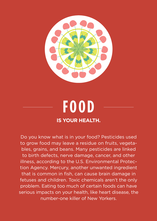

### **F O O D IS YOUR HEALTH.**

Do you know what is in your food? Pesticides used to grow food may leave a residue on fruits, vegetables, grains, and beans. Many pesticides are linked to birth defects, nerve damage, cancer, and other illness, according to the U.S. Environmental Protection Agency. Mercury, another unwanted ingredient that is common in fish, can cause brain damage in fetuses and children. Toxic chemicals aren't the only problem. Eating too much of certain foods can have serious impacts on your health, like heart disease, the number-one killer of New Yorkers.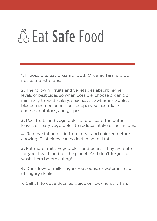## A. Eat Safe Food

1. If possible, eat organic food. Organic farmers do not use pesticides.

2. The following fruits and vegetables absorb higher levels of pesticides so when possible, choose organic or minimally treated: celery, peaches, strawberries, apples, blueberries, nectarines, bell peppers, spinach, kale, cherries, potatoes, and grapes.

3. Peel fruits and vegetables and discard the outer leaves of leafy vegetables to reduce intake of pesticides.

4. Remove fat and skin from meat and chicken before cooking. Pesticides can collect in animal fat.

5. Eat more fruits, vegetables, and beans. They are better for your health and for the planet. And don't forget to wash them before eating!

6. Drink low-fat milk, sugar-free sodas, or water instead of sugary drinks.

7. Call 311 to get a detailed guide on low-mercury fish.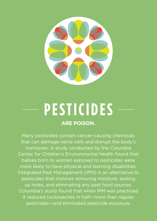

### **P E S T I C I D E S ARE POISON.**

Many pesticides contain cancer-causing chemicals that can damage nerve cells and disrupt the body's hormones. A study conducted by the Columbia Center for Children's Environmental Health found that babies born to women exposed to pesticides were more likely to have physical and learning disabilities. Integrated Pest Management (IPM) is an alternative to pesticides that involves removing moisture, sealing up holes, and eliminating any pest food sources. Columbia's study found that when IPM was practiced it reduced cockroaches in half—more than regular pesticides—and eliminated pesticide exposure.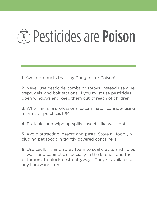## $\widehat{\pi}$  Pesticides are Poison

1. Avoid products that say Danger!!! or Poison!!!

2. Never use pesticide bombs or sprays. Instead use glue traps, gels, and bait stations. If you must use pesticides, open windows and keep them out of reach of children.

3. When hiring a professional exterminator, consider using a firm that practices IPM.

4. Fix leaks and wipe up spills. Insects like wet spots.

5. Avoid attracting insects and pests. Store all food (including pet food) in tightly covered containers.

6. Use caulking and spray foam to seal cracks and holes in walls and cabinets, especially in the kitchen and the bathroom, to block pest entryways. They're available at any hardware store.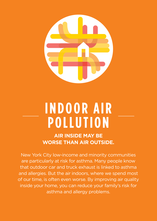

### **I N D O O R A I R P O L L U T I O N**

**AIR INSIDE MAY BE WORSE THAN AIR OUTSIDE.**

New York City low-income and minority communities are particularly at risk for asthma. Many people know that outdoor car and truck exhaust is linked to asthma and allergies. But the air indoors, where we spend most of our time, is often even worse. By improving air quality inside your home, you can reduce your family's risk for asthma and allergy problems.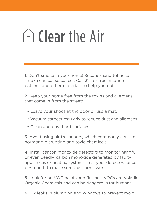## $\cap$  Clear the Air

1. Don't smoke in your home! Second-hand tobacco smoke can cause cancer. Call 311 for free nicotine patches and other materials to help you quit.

2. Keep your home free from the toxins and allergens that come in from the street:

- Leave your shoes at the door or use a mat.
- Vacuum carpets regularly to reduce dust and allergens.
- Clean and dust hard surfaces.

3. Avoid using air fresheners, which commonly contain hormone-disrupting and toxic chemicals.

4. Install carbon monoxide detectors to monitor harmful, or even deadly, carbon monoxide generated by faulty appliances or heating systems. Test your detectors once per month to make sure the alarms work.

5. Look for no-VOC paints and finishes. VOCs are Volatile Organic Chemicals and can be dangerous for humans.

6. Fix leaks in plumbing and windows to prevent mold.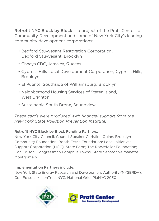Retrofit NYC Block by Block is a project of the Pratt Center for Community Development and some of New York City's leading community development corporations:

- Bedford Stuvyesant Restoration Corporation. Bedford Stuyvesant, Brooklyn
- Chhava CDC, Jamaica, Queens
- Cypress Hills Local Development Corporation, Cypress Hills, Brooklyn
- El Puente, Southside of Williamsburg, Brooklyn
- Neighborhood Housing Services of Staten Island, West Brighton
- Sustainable South Bronx, Soundview

*These cards were produced with financial support from the New York State Pollution Prevention Institute.* 

#### Retrofit NYC Block by Block Funding Partners:

New York City Council; Council Speaker Christine Quinn; Brooklyn Community Foundation: Booth Ferris Foundation: Local Initiatives Support Corporation (LISC); State Farm; The Rockefeller Foundation; Con Edison; Congressman Edolphus Towns; State Senator Velmanette Montgomery

#### Implementation Partners include:

New York State Energy Research and Development Authority (NYSERDA); Con Edison, MillionTreesNYC; National Grid, PlaNYC 2030